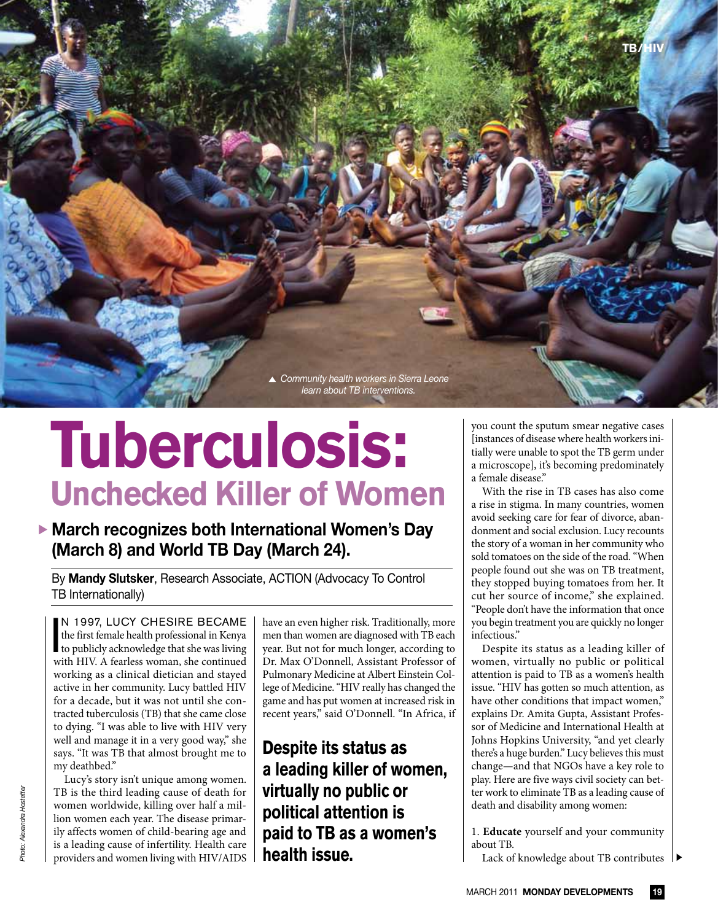

## **Tuberculosis: Unchecked Killer of Women**

**March recognizes both International Women's Day (March 8) and World TB Day (March 24).**

By **Mandy Slutsker**, Research Associate, ACTION (Advocacy To Control TB Internationally)

N 1997, LUCY CHESIRE BECAME<br>the first female health professional in Kenya<br>to publicly acknowledge that she was living<br>with HIV A fearless woman, she continued the first female health professional in Kenya with HIV. A fearless woman, she continued working as a clinical dietician and stayed active in her community. Lucy battled HIV for a decade, but it was not until she contracted tuberculosis (TB) that she came close to dying. "I was able to live with HIV very well and manage it in a very good way," she says. "It was TB that almost brought me to my deathbed."

Lucy's story isn't unique among women. TB is the third leading cause of death for women worldwide, killing over half a million women each year. The disease primarily affects women of child-bearing age and is a leading cause of infertility. Health care providers and women living with HIV/AIDS have an even higher risk. Traditionally, more men than women are diagnosed with TB each year. But not for much longer, according to Dr. Max O'Donnell, Assistant Professor of Pulmonary Medicine at Albert Einstein College of Medicine. "HIV really has changed the game and has put women at increased risk in recent years," said O'Donnell. "In Africa, if

**Despite its status as a leading killer of women, virtually no public or political attention is paid to TB as a women's health issue.**

you count the sputum smear negative cases [instances of disease where health workers initially were unable to spot the TB germ under a microscope], it's becoming predominately a female disease."

With the rise in TB cases has also come a rise in stigma. In many countries, women avoid seeking care for fear of divorce, abandonment and social exclusion. Lucy recounts the story of a woman in her community who sold tomatoes on the side of the road. "When people found out she was on TB treatment, they stopped buying tomatoes from her. It cut her source of income," she explained. "People don't have the information that once you begin treatment you are quickly no longer infectious."

Despite its status as a leading killer of women, virtually no public or political attention is paid to TB as a women's health issue. "HIV has gotten so much attention, as have other conditions that impact women," explains Dr. Amita Gupta, Assistant Professor of Medicine and International Health at Johns Hopkins University, "and yet clearly there's a huge burden." Lucy believes this must change—and that NGOs have a key role to play. Here are five ways civil society can better work to eliminate TB as a leading cause of death and disability among women:

1. **Educate** yourself and your community about TB.

Lack of knowledge about TB contributes  $\| \blacktriangleright$